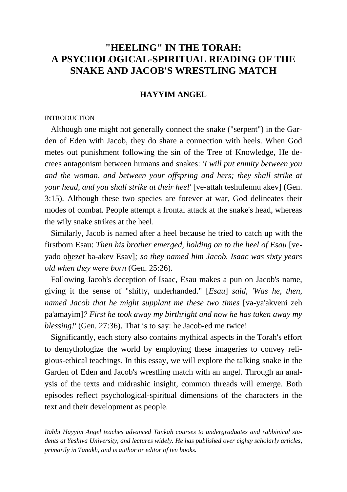# **"HEELING" IN THE TORAH: A PSYCHOLOGICAL-SPIRITUAL READING OF THE SNAKE AND JACOB'S WRESTLING MATCH**

# **HAYYIM ANGEL**

### **INTRODUCTION**

 Although one might not generally connect the snake ("serpent") in the Garden of Eden with Jacob, they do share a connection with heels. When God metes out punishment following the sin of the Tree of Knowledge, He decrees antagonism between humans and snakes: *'I will put enmity between you and the woman, and between your offspring and hers; they shall strike at your head, and you shall strike at their heel'* [ve-attah teshufennu akev] (Gen. 3:15). Although these two species are forever at war, God delineates their modes of combat. People attempt a frontal attack at the snake's head, whereas the wily snake strikes at the heel.

 Similarly, Jacob is named after a heel because he tried to catch up with the firstborn Esau: *Then his brother emerged, holding on to the heel of Esau* [veyado ohezet ba-akev Esav]*; so they named him Jacob. Isaac was sixty years old when they were born* (Gen. 25:26).

 Following Jacob's deception of Isaac, Esau makes a pun on Jacob's name, giving it the sense of "shifty, underhanded." [*Esau*] *said, 'Was he, then, named Jacob that he might supplant me these two times* [va-ya'akveni zeh pa'amayim]*? First he took away my birthright and now he has taken away my blessing!'* (Gen. 27:36). That is to say: he Jacob-ed me twice!

 Significantly, each story also contains mythical aspects in the Torah's effort to demythologize the world by employing these imageries to convey religious-ethical teachings. In this essay, we will explore the talking snake in the Garden of Eden and Jacob's wrestling match with an angel. Through an analysis of the texts and midrashic insight, common threads will emerge. Both episodes reflect psychological-spiritual dimensions of the characters in the text and their development as people.

*Rabbi Hayyim Angel teaches advanced Tankah courses to undergraduates and rabbinical students at Yeshiva University, and lectures widely. He has published over eighty scholarly articles, primarily in Tanakh, and is author or editor of ten books.*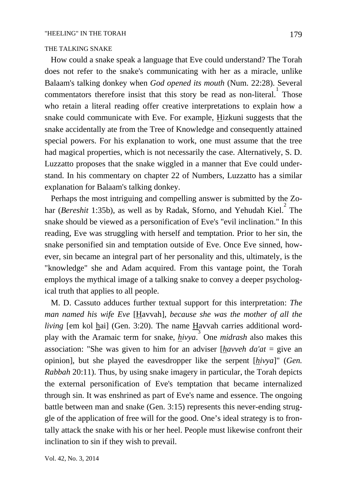### THE TALKING SNAKE

 How could a snake speak a language that Eve could understand? The Torah does not refer to the snake's communicating with her as a miracle, unlike Balaam's talking donkey when *God opened its mouth* (Num. 22:28). Several commentators therefore insist that this story be read as non-literal.<sup>1</sup> Those who retain a literal reading offer creative interpretations to explain how a snake could communicate with Eve. For example, Hizkuni suggests that the snake accidentally ate from the Tree of Knowledge and consequently attained special powers. For his explanation to work, one must assume that the tree had magical properties, which is not necessarily the case. Alternatively, S. D. Luzzatto proposes that the snake wiggled in a manner that Eve could understand. In his commentary on chapter 22 of Numbers, Luzzatto has a similar explanation for Balaam's talking donkey.

 Perhaps the most intriguing and compelling answer is submitted by the Zohar (*Bereshit* 1:35b), as well as by Radak, Sforno, and Yehudah Kiel.<sup>2</sup> The snake should be viewed as a personification of Eve's "evil inclination." In this reading, Eve was struggling with herself and temptation. Prior to her sin, the snake personified sin and temptation outside of Eve. Once Eve sinned, however, sin became an integral part of her personality and this, ultimately, is the "knowledge" she and Adam acquired. From this vantage point, the Torah employs the mythical image of a talking snake to convey a deeper psychological truth that applies to all people.

 M. D. Cassuto adduces further textual support for this interpretation: *The man named his wife Eve* [Havvah]*, because she was the mother of all the living* [em kol hai] (Gen. 3:20). The name Havvah carries additional wordplay with the Aramaic term for snake, *hivya*. 3 One *midrash* also makes this association: "She was given to him for an adviser [*havveh da'at* = give an opinion], but she played the eavesdropper like the serpent [*hivya*]" (*Gen. Rabbah* 20:11). Thus, by using snake imagery in particular, the Torah depicts the external personification of Eve's temptation that became internalized through sin. It was enshrined as part of Eve's name and essence. The ongoing battle between man and snake (Gen. 3:15) represents this never-ending struggle of the application of free will for the good. One's ideal strategy is to frontally attack the snake with his or her heel. People must likewise confront their inclination to sin if they wish to prevail.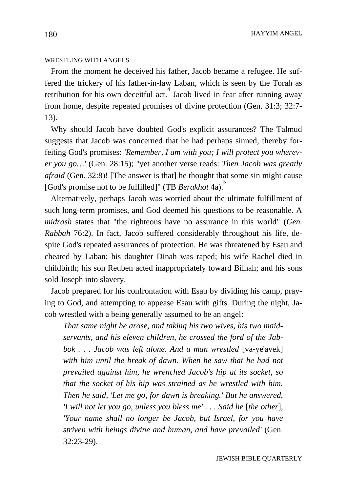HAYYIM ANGEL

# WRESTLING WITH ANGELS

 From the moment he deceived his father, Jacob became a refugee. He suffered the trickery of his father-in-law Laban, which is seen by the Torah as retribution for his own deceitful act.<sup>4</sup> Jacob lived in fear after running away from home, despite repeated promises of divine protection (Gen. 31:3; 32:7- 13).

 Why should Jacob have doubted God's explicit assurances? The Talmud suggests that Jacob was concerned that he had perhaps sinned, thereby forfeiting God's promises: *'Remember, I am with you; I will protect you wherever you go…'* (Gen. 28:15); "yet another verse reads: *Then Jacob was greatly afraid* (Gen. 32:8)! [The answer is that] he thought that some sin might cause [God's promise not to be fulfilled]" (TB *Berakhot* 4a).

 Alternatively, perhaps Jacob was worried about the ultimate fulfillment of such long-term promises, and God deemed his questions to be reasonable. A *midrash* states that "the righteous have no assurance in this world" (*Gen. Rabbah* 76:2). In fact, Jacob suffered considerably throughout his life, despite God's repeated assurances of protection. He was threatened by Esau and cheated by Laban; his daughter Dinah was raped; his wife Rachel died in childbirth; his son Reuben acted inappropriately toward Bilhah; and his sons sold Joseph into slavery.

 Jacob prepared for his confrontation with Esau by dividing his camp, praying to God, and attempting to appease Esau with gifts. During the night, Jacob wrestled with a being generally assumed to be an angel:

*That same night he arose, and taking his two wives, his two maidservants, and his eleven children, he crossed the ford of the Jabbok ... Jacob was left alone. And a man wrestled* [va-ye'avek] *with him until the break of dawn. When he saw that he had not prevailed against him, he wrenched Jacob's hip at its socket, so that the socket of his hip was strained as he wrestled with him. Then he said, 'Let me go, for dawn is breaking.' But he answered, 'I will not let you go, unless you bless me' . . . Said he* [*the other*]*, 'Your name shall no longer be Jacob, but Israel, for you have striven with beings divine and human, and have prevailed'* (Gen. 32:23-29).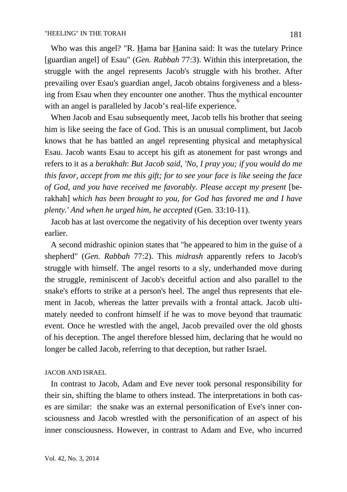Who was this angel? "R. Hama bar Hanina said: It was the tutelary Prince [guardian angel] of Esau" (*Gen. Rabbah* 77:3). Within this interpretation, the struggle with the angel represents Jacob's struggle with his brother. After prevailing over Esau's guardian angel, Jacob obtains forgiveness and a blessing from Esau when they encounter one another. Thus the mythical encounter with an angel is paralleled by Jacob's real-life experience. $\overset{6}{\phantom{6}}$ 

 When Jacob and Esau subsequently meet, Jacob tells his brother that seeing him is like seeing the face of God. This is an unusual compliment, but Jacob knows that he has battled an angel representing physical and metaphysical Esau. Jacob wants Esau to accept his gift as atonement for past wrongs and refers to it as a *berakhah*: *But Jacob said, 'No, I pray you; if you would do me this favor, accept from me this gift; for to see your face is like seeing the face of God, and you have received me favorably. Please accept my present* [berakhah] *which has been brought to you, for God has favored me and I have plenty.' And when he urged him, he accepted* (Gen. 33:10-11).

 Jacob has at last overcome the negativity of his deception over twenty years earlier.

 A second midrashic opinion states that "he appeared to him in the guise of a shepherd" (*Gen. Rabbah* 77:2). This *midrash* apparently refers to Jacob's struggle with himself. The angel resorts to a sly, underhanded move during the struggle, reminiscent of Jacob's deceitful action and also parallel to the snake's efforts to strike at a person's heel. The angel thus represents that element in Jacob, whereas the latter prevails with a frontal attack. Jacob ultimately needed to confront himself if he was to move beyond that traumatic event. Once he wrestled with the angel, Jacob prevailed over the old ghosts of his deception. The angel therefore blessed him, declaring that he would no longer be called Jacob, referring to that deception, but rather Israel.

#### JACOB AND ISRAEL

 In contrast to Jacob, Adam and Eve never took personal responsibility for their sin, shifting the blame to others instead. The interpretations in both cases are similar: the snake was an external personification of Eve's inner consciousness and Jacob wrestled with the personification of an aspect of his inner consciousness. However, in contrast to Adam and Eve, who incurred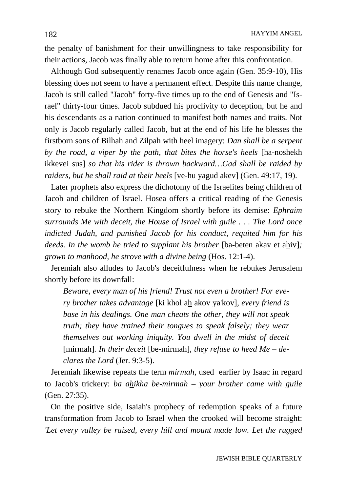the penalty of banishment for their unwillingness to take responsibility for their actions, Jacob was finally able to return home after this confrontation.

 Although God subsequently renames Jacob once again (Gen. 35:9-10), His blessing does not seem to have a permanent effect. Despite this name change, Jacob is still called "Jacob" forty-five times up to the end of Genesis and "Israel" thirty-four times. Jacob subdued his proclivity to deception, but he and his descendants as a nation continued to manifest both names and traits. Not only is Jacob regularly called Jacob, but at the end of his life he blesses the firstborn sons of Bilhah and Zilpah with heel imagery: *Dan shall be a serpent by the road, a viper by the path, that bites the horse's heels* [ha-noshekh ikkevei sus] *so that his rider is thrown backward…Gad shall be raided by raiders, but he shall raid at their heels* [ve-hu yagud akev] (Gen. 49:17, 19).

 Later prophets also express the dichotomy of the Israelites being children of Jacob and children of Israel. Hosea offers a critical reading of the Genesis story to rebuke the Northern Kingdom shortly before its demise: *Ephraim surrounds Me with deceit, the House of Israel with guile . . . The Lord once indicted Judah, and punished Jacob for his conduct, requited him for his deeds. In the womb he tried to supplant his brother* [ba-beten akav et ahiv]; *grown to manhood, he strove with a divine being* (Hos. 12:1-4).

 Jeremiah also alludes to Jacob's deceitfulness when he rebukes Jerusalem shortly before its downfall:

*Beware, every man of his friend! Trust not even a brother! For every brother takes advantage* [ki khol ah akov ya'kov]*, every friend is base in his dealings. One man cheats the other, they will not speak truth; they have trained their tongues to speak falsely; they wear themselves out working iniquity. You dwell in the midst of deceit*  [mirmah]*. In their deceit* [be-mirmah]*, they refuse to heed Me – declares the Lord* (Jer. 9:3-5).

 Jeremiah likewise repeats the term *mirmah*, used earlier by Isaac in regard to Jacob's trickery: *ba ahikha be-mirmah* – *your brother came with guile* (Gen. 27:35).

 On the positive side, Isaiah's prophecy of redemption speaks of a future transformation from Jacob to Israel when the crooked will become straight: *'Let every valley be raised, every hill and mount made low. Let the rugged*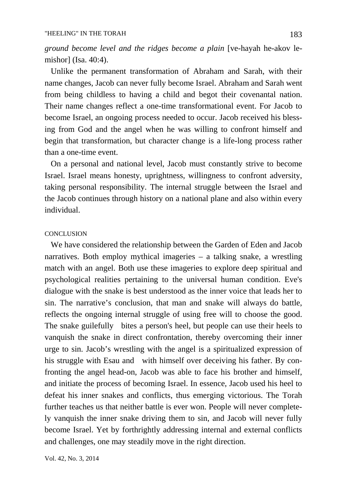*ground become level and the ridges become a plain* [ve-hayah he-akov lemishor] (Isa. 40:4).

 Unlike the permanent transformation of Abraham and Sarah, with their name changes, Jacob can never fully become Israel. Abraham and Sarah went from being childless to having a child and begot their covenantal nation. Their name changes reflect a one-time transformational event. For Jacob to become Israel, an ongoing process needed to occur. Jacob received his blessing from God and the angel when he was willing to confront himself and begin that transformation, but character change is a life-long process rather than a one-time event.

 On a personal and national level, Jacob must constantly strive to become Israel. Israel means honesty, uprightness, willingness to confront adversity, taking personal responsibility. The internal struggle between the Israel and the Jacob continues through history on a national plane and also within every individual.

### **CONCLUSION**

 We have considered the relationship between the Garden of Eden and Jacob narratives. Both employ mythical imageries – a talking snake, a wrestling match with an angel. Both use these imageries to explore deep spiritual and psychological realities pertaining to the universal human condition. Eve's dialogue with the snake is best understood as the inner voice that leads her to sin. The narrative's conclusion, that man and snake will always do battle, reflects the ongoing internal struggle of using free will to choose the good. The snake guilefully bites a person's heel, but people can use their heels to vanquish the snake in direct confrontation, thereby overcoming their inner urge to sin. Jacob's wrestling with the angel is a spiritualized expression of his struggle with Esau and with himself over deceiving his father. By confronting the angel head-on, Jacob was able to face his brother and himself, and initiate the process of becoming Israel. In essence, Jacob used his heel to defeat his inner snakes and conflicts, thus emerging victorious. The Torah further teaches us that neither battle is ever won. People will never completely vanquish the inner snake driving them to sin, and Jacob will never fully become Israel. Yet by forthrightly addressing internal and external conflicts and challenges, one may steadily move in the right direction.